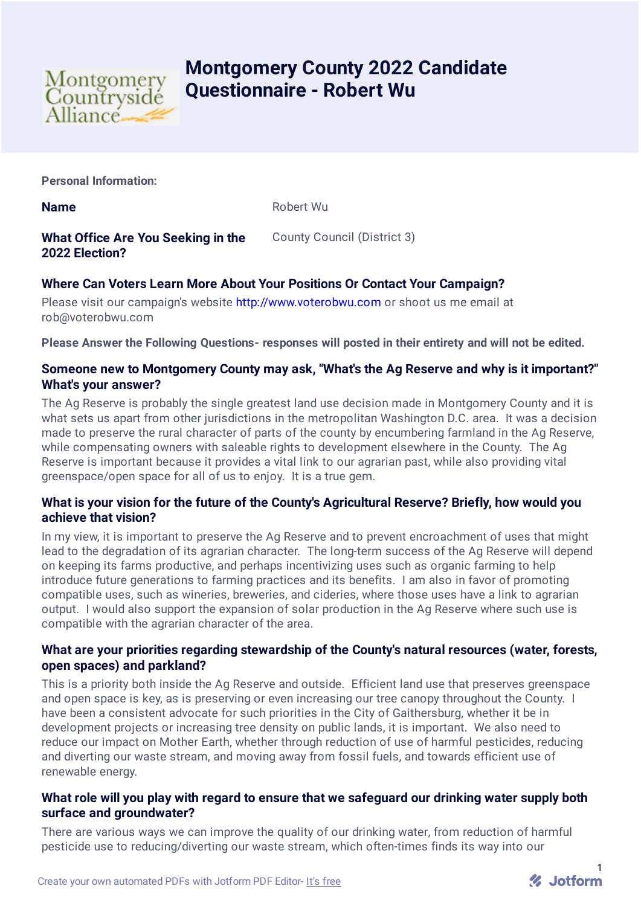

# **Montgomery County 2022 Candidate Questionnaire - Robert Wu**

**Personal Information:**

**Name** Robert Wu

**What Office Are You Seeking in the 2022 Election?**

County Council (District 3)

# **Where Can Voters Learn More About Your Positions Or Contact Your Campaign?**

Please visit our campaign's website [http://www.voterobwu.com](http://www.voterobwu.com/) or shoot us me email at rob@voterobwu.com

**Please Answer the Following Questions- responses will posted in their entirety and will not be edited.**

#### **Someone new to Montgomery County may ask, "What's the Ag Reserve and why is it important?" What's your answer?**

The Ag Reserve is probably the single greatest land use decision made in Montgomery County and it is what sets us apart from other jurisdictions in the metropolitan Washington D.C. area. It was a decision made to preserve the rural character of parts of the county by encumbering farmland in the Ag Reserve, while compensating owners with saleable rights to development elsewhere in the County. The Ag Reserve is important because it provides a vital link to our agrarian past, while also providing vital greenspace/open space for all of us to enjoy. It is a true gem.

## **What is your vision for the future of the County's Agricultural Reserve? Briefly, how would you achieve that vision?**

In my view, it is important to preserve the Ag Reserve and to prevent encroachment of uses that might lead to the degradation of its agrarian character. The long-term success of the Ag Reserve will depend on keeping its farms productive, and perhaps incentivizing uses such as organic farming to help introduce future generations to farming practices and its benefits. I am also in favor of promoting compatible uses, such as wineries, breweries, and cideries, where those uses have a link to agrarian output. I would also support the expansion of solar production in the Ag Reserve where such use is compatible with the agrarian character of the area.

## **What are your priorities regarding stewardship of the County's natural resources (water, forests, open spaces) and parkland?**

This is a priority both inside the Ag Reserve and outside. Efficient land use that preserves greenspace and open space is key, as is preserving or even increasing our tree canopy throughout the County. I have been a consistent advocate for such priorities in the City of Gaithersburg, whether it be in development projects or increasing tree density on public lands, it is important. We also need to reduce our impact on Mother Earth, whether through reduction of use of harmful pesticides, reducing and diverting our waste stream, and moving away from fossil fuels, and towards efficient use of renewable energy.

## **What role will you play with regard to ensure that we safeguard our drinking water supply both surface and groundwater?**

There are various ways we can improve the quality of our drinking water, from reduction of harmful pesticide use to reducing/diverting our waste stream, which often-times finds its way into our

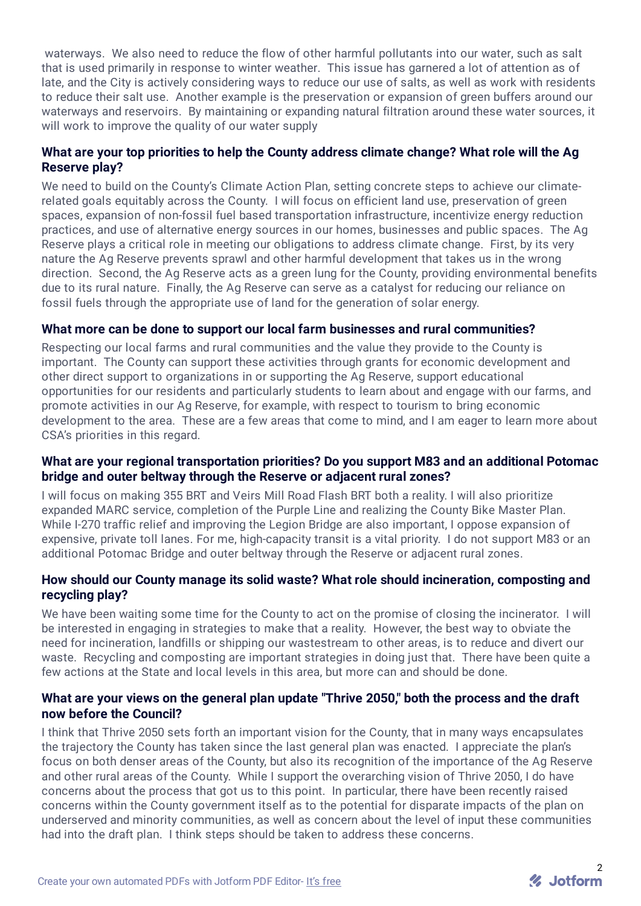waterways. We also need to reduce the flow of other harmful pollutants into our water, such as salt that is used primarily in response to winter weather. This issue has garnered a lot of attention as of late, and the City is actively considering ways to reduce our use of salts, as well as work with residents to reduce their salt use. Another example is the preservation or expansion of green buffers around our waterways and reservoirs. By maintaining or expanding natural filtration around these water sources, it will work to improve the quality of our water supply

## **What are your top priorities to help the County address climate change? What role will the Ag Reserve play?**

We need to build on the County's Climate Action Plan, setting concrete steps to achieve our climaterelated goals equitably across the County. I will focus on efficient land use, preservation of green spaces, expansion of non-fossil fuel based transportation infrastructure, incentivize energy reduction practices, and use of alternative energy sources in our homes, businesses and public spaces. The Ag Reserve plays a critical role in meeting our obligations to address climate change. First, by its very nature the Ag Reserve prevents sprawl and other harmful development that takes us in the wrong direction. Second, the Ag Reserve acts as a green lung for the County, providing environmental benefits due to its rural nature. Finally, the Ag Reserve can serve as a catalyst for reducing our reliance on fossil fuels through the appropriate use of land for the generation of solar energy.

#### **What more can be done to support our local farm businesses and rural communities?**

Respecting our local farms and rural communities and the value they provide to the County is important. The County can support these activities through grants for economic development and other direct support to organizations in or supporting the Ag Reserve, support educational opportunities for our residents and particularly students to learn about and engage with our farms, and promote activities in our Ag Reserve, for example, with respect to tourism to bring economic development to the area. These are a few areas that come to mind, and I am eager to learn more about CSA's priorities in this regard.

#### **What are your regional transportation priorities? Do you support M83 and an additional Potomac bridge and outer beltway through the Reserve or adjacent rural zones?**

I will focus on making 355 BRT and Veirs Mill Road Flash BRT both a reality. I will also prioritize expanded MARC service, completion of the Purple Line and realizing the County Bike Master Plan. While I-270 traffic relief and improving the Legion Bridge are also important, I oppose expansion of expensive, private toll lanes. For me, high-capacity transit is a vital priority. I do not support M83 or an additional Potomac Bridge and outer beltway through the Reserve or adjacent rural zones.

#### **How should our County manage its solid waste? What role should incineration, composting and recycling play?**

We have been waiting some time for the County to act on the promise of closing the incinerator. I will be interested in engaging in strategies to make that a reality. However, the best way to obviate the need for incineration, landfills or shipping our wastestream to other areas, is to reduce and divert our waste. Recycling and composting are important strategies in doing just that. There have been quite a few actions at the State and local levels in this area, but more can and should be done.

## **What are your views on the general plan update "Thrive 2050," both the process and the draft now before the Council?**

I think that Thrive 2050 sets forth an important vision for the County, that in many ways encapsulates the trajectory the County has taken since the last general plan was enacted. I appreciate the plan's focus on both denser areas of the County, but also its recognition of the importance of the Ag Reserve and other rural areas of the County. While I support the overarching vision of Thrive 2050, I do have concerns about the process that got us to this point. In particular, there have been recently raised concerns within the County government itself as to the potential for disparate impacts of the plan on underserved and minority communities, as well as concern about the level of input these communities had into the draft plan. I think steps should be taken to address these concerns.